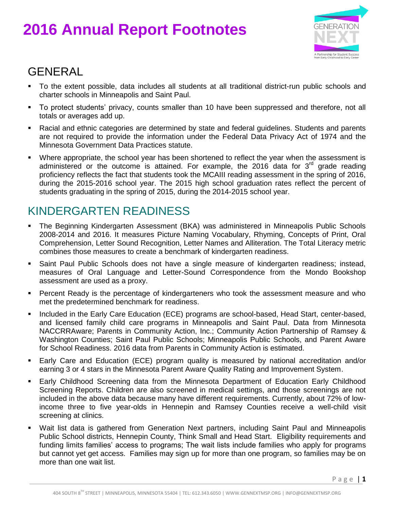# **2016 Annual Report Footnotes**



#### GENERAL

- To the extent possible, data includes all students at all traditional district-run public schools and charter schools in Minneapolis and Saint Paul.
- To protect students' privacy, counts smaller than 10 have been suppressed and therefore, not all totals or averages add up.
- Racial and ethnic categories are determined by state and federal guidelines. Students and parents are not required to provide the information under the Federal Data Privacy Act of 1974 and the Minnesota Government Data Practices statute.
- Where appropriate, the school year has been shortened to reflect the year when the assessment is administered or the outcome is attained. For example, the 2016 data for  $3<sup>rd</sup>$  grade reading proficiency reflects the fact that students took the MCAIII reading assessment in the spring of 2016, during the 2015-2016 school year. The 2015 high school graduation rates reflect the percent of students graduating in the spring of 2015, during the 2014-2015 school year.

#### KINDERGARTEN READINESS

- The Beginning Kindergarten Assessment (BKA) was administered in Minneapolis Public Schools 2008-2014 and 2016. It measures Picture Naming Vocabulary, Rhyming, Concepts of Print, Oral Comprehension, Letter Sound Recognition, Letter Names and Alliteration. The Total Literacy metric combines those measures to create a benchmark of kindergarten readiness.
- Saint Paul Public Schools does not have a single measure of kindergarten readiness; instead, measures of Oral Language and Letter-Sound Correspondence from the Mondo Bookshop assessment are used as a proxy.
- **Percent Ready is the percentage of kindergarteners who took the assessment measure and who** met the predetermined benchmark for readiness.
- **Included in the Early Care Education (ECE) programs are school-based, Head Start, center-based,** and licensed family child care programs in Minneapolis and Saint Paul. Data from Minnesota NACCRRAware; Parents in Community Action, Inc.; Community Action Partnership of Ramsey & Washington Counties; Saint Paul Public Schools; Minneapolis Public Schools, and Parent Aware for School Readiness. 2016 data from Parents in Community Action is estimated.
- Early Care and Education (ECE) program quality is measured by national accreditation and/or earning 3 or 4 stars in the Minnesota Parent Aware Quality Rating and Improvement System.
- Early Childhood Screening data from the Minnesota Department of Education Early Childhood Screening Reports. Children are also screened in medical settings, and those screenings are not included in the above data because many have different requirements. Currently, about 72% of lowincome three to five year-olds in Hennepin and Ramsey Counties receive a well-child visit screening at clinics.
- Wait list data is gathered from Generation Next partners, including Saint Paul and Minneapolis Public School districts, Hennepin County, Think Small and Head Start. Eligibility requirements and funding limits families' access to programs; The wait lists include families who apply for programs but cannot yet get access. Families may sign up for more than one program, so families may be on more than one wait list.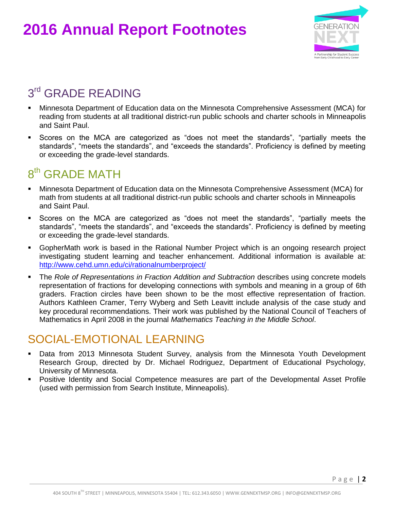## **2016 Annual Report Footnotes**



### 3<sup>rd</sup> GRADE READING

- Minnesota Department of Education data on the Minnesota Comprehensive Assessment (MCA) for reading from students at all traditional district-run public schools and charter schools in Minneapolis and Saint Paul.
- Scores on the MCA are categorized as "does not meet the standards", "partially meets the standards", "meets the standards", and "exceeds the standards". Proficiency is defined by meeting or exceeding the grade-level standards.

### 8<sup>th</sup> GRADE MATH

- Minnesota Department of Education data on the Minnesota Comprehensive Assessment (MCA) for math from students at all traditional district-run public schools and charter schools in Minneapolis and Saint Paul.
- Scores on the MCA are categorized as "does not meet the standards", "partially meets the standards", "meets the standards", and "exceeds the standards". Proficiency is defined by meeting or exceeding the grade-level standards.
- GopherMath work is based in the Rational Number Project which is an ongoing research project investigating student learning and teacher enhancement. Additional information is available at: <http://www.cehd.umn.edu/ci/rationalnumberproject/>
- **The** *Role of Representations in Fraction Addition and Subtraction* **describes using concrete models** representation of fractions for developing connections with symbols and meaning in a group of 6th graders. Fraction circles have been shown to be the most effective representation of fraction. Authors Kathleen Cramer, Terry Wyberg and Seth Leavitt include analysis of the case study and key procedural recommendations. Their work was published by the National Council of Teachers of Mathematics in April 2008 in the journal *Mathematics Teaching in the Middle School*.

#### SOCIAL-EMOTIONAL LEARNING

- Data from 2013 Minnesota Student Survey, analysis from the Minnesota Youth Development Research Group, directed by Dr. Michael Rodriguez, Department of Educational Psychology, University of Minnesota.
- Positive Identity and Social Competence measures are part of the Developmental Asset Profile (used with permission from Search Institute, Minneapolis).